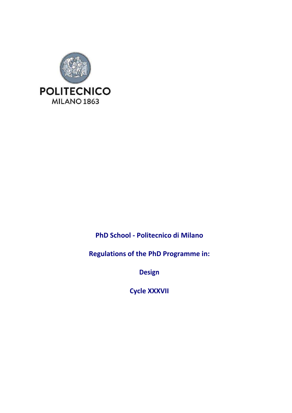

**PhD School ‐ Politecnico di Milano** 

**Regulations of the PhD Programme in:** 

**Design** 

**Cycle XXXVII**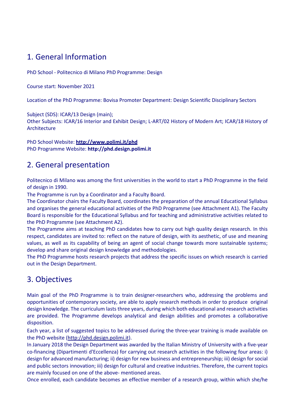# 1. General Information

PhD School ‐ Politecnico di Milano PhD Programme: Design

Course start: November 2021

Location of the PhD Programme: Bovisa Promoter Department: Design Scientific Disciplinary Sectors

Subject (SDS): ICAR/13 Design (main);

Other Subjects: ICAR/16 Interior and Exhibit Design; L‐ART/02 History of Modern Art; ICAR/18 History of Architecture

PhD School Website: **http://www.polimi.it/phd** PhD Programme Website: **http://phd.design.polimi.it**

# 2. General presentation

Politecnico di Milano was among the first universities in the world to start a PhD Programme in the field of design in 1990.

The Programme is run by a Coordinator and a Faculty Board.

The Coordinator chairs the Faculty Board, coordinates the preparation of the annual Educational Syllabus and organises the general educational activities of the PhD Programme (see Attachment A1). The Faculty Board is responsible for the Educational Syllabus and for teaching and administrative activities related to the PhD Programme (see Attachment A2).

The Programme aims at teaching PhD candidates how to carry out high quality design research. In this respect, candidates are invited to: reflect on the nature of design, with its aesthetic, of use and meaning values, as well as its capability of being an agent of social change towards more sustainable systems; develop and share original design knowledge and methodologies.

The PhD Programme hosts research projects that address the specific issues on which research is carried out in the Design Department.

# 3. Objectives

Main goal of the PhD Programme is to train designer‐researchers who, addressing the problems and opportunities of contemporary society, are able to apply research methods in order to produce original design knowledge. The curriculum lasts three years, during which both educational and research activities are provided. The Programme develops analytical and design abilities and promotes a collaborative disposition.

Each year, a list of suggested topics to be addressed during the three‐year training is made available on the PhD website (http://phd.design.polimi.it).

In January 2018 the Design Department was awarded by the Italian Ministry of University with a five‐year co‐financing (Dipartimenti d'Eccellenza) for carrying out research activities in the following four areas: i) design for advanced manufacturing; ii) design for new business and entrepreneurship; iii) design for social and public sectors innovation; iii) design for cultural and creative industries. Therefore, the current topics are mainly focused on one of the above‐ mentioned areas.

Once enrolled, each candidate becomes an effective member of a research group, within which she/he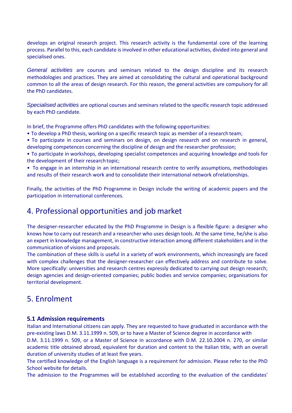develops an original research project. This research activity is the fundamental core of the learning process. Parallel to this, each candidate is involved in other educational activities, divided into general and specialised ones.

General activities are courses and seminars related to the design discipline and its research methodologies and practices. They are aimed at consolidating the cultural and operational background common to all the areas of design research. For this reason, the general activities are compulsory for all the PhD candidates.

Specialised activities are optional courses and seminars related to the specific research topic addressed by each PhD candidate.

In brief, the Programme offers PhD candidates with the following opportunities:

- To develop a PhD thesis, working on a specific research topic as member of a research team;
- To participate in courses and seminars on design, on design research and on research in general, developing competences concerning the discipline of design and the researcher profession;
- To participate in workshops, developing specialist competences and acquiring knowledge and tools for the development of their research topic;
- To engage in an internship in an international research centre to verify assumptions, methodologies and results of their research work and to consolidate their international network of relationships.

Finally, the activities of the PhD Programme in Design include the writing of academic papers and the participation in international conferences.

# 4. Professional opportunities and job market

The designer-researcher educated by the PhD Programme in Design is a flexible figure: a designer who knows how to carry out research and a researcher who uses design tools. At the same time, he/she is also an expert in knowledge management, in constructive interaction among different stakeholders and in the communication of visions and proposals.

The combination of these skills is useful in a variety of work environments, which increasingly are faced with complex challenges that the designer-researcher can effectively address and contribute to solve. More specifically: universities and research centres expressly dedicated to carrying out design research; design agencies and design‐oriented companies; public bodies and service companies; organisations for territorial development.

# 5. Enrolment

## **5.1 Admission requirements**

Italian and International citizens can apply. They are requested to have graduated in accordance with the pre‐existing laws D.M. 3.11.1999 n. 509, or to have a Master of Science degree in accordance with

D.M. 3.11.1999 n. 509, or a Master of Science in accordance with D.M. 22.10.2004 n. 270, or similar academic title obtained abroad, equivalent for duration and content to the Italian title, with an overall duration of university studies of at least five years.

The certified knowledge of the English language is a requirement for admission. Please refer to the PhD School website for details.

The admission to the Programmes will be established according to the evaluation of the candidates'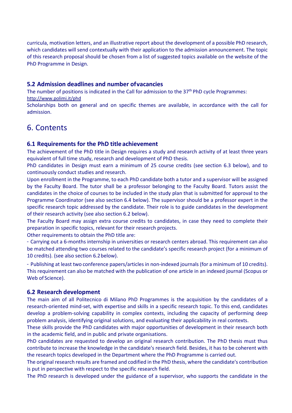curricula, motivation letters, and an illustrative report about the development of a possible PhD research, which candidates will send contextually with their application to the admission announcement. The topic of this research proposal should be chosen from a list of suggested topics available on the website of the PhD Programme in Design.

## **5.2 Admission deadlines and number of vacancies**

The number of positions is indicated in the Call for admission to the  $37<sup>th</sup>$  PhD cycle Programmes: http://www.polimi.it/phd

Scholarships both on general and on specific themes are available, in accordance with the call for admission.

# 6. Contents

## **6.1 Requirements for the PhD title achievement**

The achievement of the PhD title in Design requires a study and research activity of at least three years equivalent of full time study, research and development of PhD thesis.

PhD candidates in Design must earn a minimum of 25 course credits (see section 6.3 below), and to continuously conduct studies and research.

Upon enrollment in the Programme, to each PhD candidate both a tutor and a supervisor will be assigned by the Faculty Board. The tutor shall be a professor belonging to the Faculty Board. Tutors assist the candidates in the choice of courses to be included in the study plan that is submitted for approval to the Programme Coordinator (see also section 6.4 below). The supervisor should be a professor expert in the specific research topic addressed by the candidate. Their role is to guide candidates in the development of their research activity (see also section 6.2 below).

The Faculty Board may assign extra course credits to candidates, in case they need to complete their preparation in specific topics, relevant for their research projects.

Other requirements to obtain the PhD title are:

<sup>−</sup> Carrying out a 6‐months internship in universities or research centers abroad. This requirement can also be matched attending two courses related to the candidate's specific research project (for a minimum of 10 credits). (see also section 6.2 below).

<sup>−</sup> Publishing at least two conference papers/articles in non‐indexed journals (for a minimum of 10 credits). This requirement can also be matched with the publication of one article in an indexed journal (Scopus or Web of Science).

## **6.2 Research development**

The main aim of all Politecnico di Milano PhD Programmes is the acquisition by the candidates of a research-oriented mind-set, with expertise and skills in a specific research topic. To this end, candidates develop a problem‐solving capability in complex contexts, including the capacity of performing deep problem analysis, identifying original solutions, and evaluating their applicability in real contexts.

These skills provide the PhD candidates with major opportunities of development in their research both in the academic field, and in public and private organisations.

PhD candidates are requested to develop an original research contribution. The PhD thesis must thus contribute to increase the knowledge in the candidate's research field. Besides, it has to be coherent with the research topics developed in the Department where the PhD Programme is carried out.

The original research results are framed and codified in the PhD thesis, where the candidate's contribution is put in perspective with respect to the specific research field.

The PhD research is developed under the guidance of a supervisor, who supports the candidate in the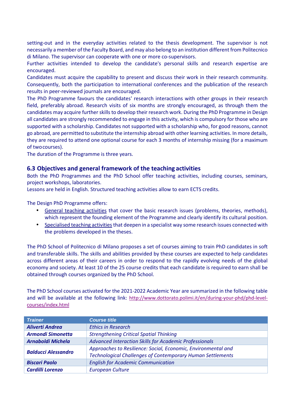setting-out and in the everyday activities related to the thesis development. The supervisor is not necessarily a member of the Faculty Board, and may also belong to an institution different from Politecnico di Milano. The supervisor can cooperate with one or more co‐supervisors.

Further activities intended to develop the candidate's personal skills and research expertise are encouraged.

Candidates must acquire the capability to present and discuss their work in their research community. Consequently, both the participation to international conferences and the publication of the research results in peer‐reviewed journals are encouraged.

The PhD Programme favours the candidates' research interactions with other groups in their research field, preferably abroad. Research visits of six months are strongly encouraged, as through them the candidates may acquire further skills to develop their research work. During the PhD Programme in Design all candidates are strongly recommended to engage in this activity, which is compulsory for those who are supported with a scholarship. Candidates not supported with a scholarship who, for good reasons, cannot go abroad, are permitted to substitute the internship abroad with other learning activities. In more details, they are required to attend one optional course for each 3 months of internship missing (for a maximum of two courses).

The duration of the Programme is three years.

## **6.3 Objectives and general framework of the teaching activities**

Both the PhD Programmes and the PhD School offer teaching activities, including courses, seminars, project workshops, laboratories.

Lessons are held in English. Structured teaching activities allow to earn ECTS credits.

The Design PhD Programme offers:

- General teaching activities that cover the basic research issues (problems, theories, methods), which represent the founding element of the Programme and clearly identify its cultural position.
- Specialised teaching activities that deepen in a specialist way some research issues connected with the problems developed in the theses.

The PhD School of Politecnico di Milano proposes a set of courses aiming to train PhD candidates in soft and transferable skills. The skills and abilities provided by these courses are expected to help candidates across different areas of their careers in order to respond to the rapidly evolving needs of the global economy and society. At least 10 of the 25 course credits that each candidate is required to earn shall be obtained through courses organized by the PhD School.

The PhD School courses activated for the 2021‐2022 Academic Year are summarized in the following table and will be available at the following link: http://www.dottorato.polimi.it/en/during-your-phd/phd-levelcourses/index.html

| <b>Trainer</b>                                                                                                                                                   | <b>Course title</b>                                    |  |
|------------------------------------------------------------------------------------------------------------------------------------------------------------------|--------------------------------------------------------|--|
| <b>Aliverti Andrea</b>                                                                                                                                           | <b>Ethics in Research</b>                              |  |
| <b>Armondi Simonetta</b>                                                                                                                                         | <b>Strengthening Critical Spatial Thinking</b>         |  |
| <b>Arnaboldi Michela</b>                                                                                                                                         | Advanced Interaction Skills for Academic Professionals |  |
| Approaches to Resilience: Social, Economic, Environmental and<br><b>Balducci Alessandro</b><br><b>Technological Challenges of Contemporary Human Settlements</b> |                                                        |  |
| <b>Biscari Paolo</b>                                                                                                                                             | <b>English for Academic Communication</b>              |  |
| <b>Cardilli Lorenzo</b>                                                                                                                                          | <b>European Culture</b>                                |  |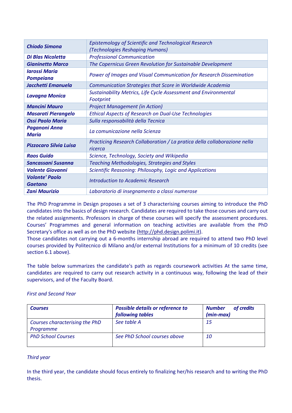| <b>Chiodo Simona</b>                     | <b>Epistemology of Scientific and Technological Research</b><br>(Technologies Reshaping Humans) |  |  |
|------------------------------------------|-------------------------------------------------------------------------------------------------|--|--|
| <b>Di Blas Nicoletta</b>                 | <b>Professional Communication</b>                                                               |  |  |
| <b>Gianinetto Marco</b>                  | The Copernicus Green Revolution for Sustainable Development                                     |  |  |
| <b>Iarossi Maria</b><br><b>Pompeiana</b> | Power of Images and Visual Communication for Research Dissemination                             |  |  |
| Jacchetti Emanuela                       | Communication Strategies that Score in Worldwide Academia                                       |  |  |
| <b>Lavagna Monica</b>                    | Sustainability Metrics, Life Cycle Assessment and Environmental<br>Footprint                    |  |  |
| <b>Mancini Mauro</b>                     | <b>Project Management (in Action)</b>                                                           |  |  |
| <b>Masarati Pierangelo</b>               | <b>Ethical Aspects of Research on Dual-Use Technologies</b>                                     |  |  |
| <b>Ossi Paolo Maria</b>                  | Sulla responsabilità della Tecnica                                                              |  |  |
| <b>Paganoni Anna</b><br><b>Maria</b>     | La comunicazione nella Scienza                                                                  |  |  |
| <b>Pizzocaro Silvia Luisa</b>            | Practicing Research Collaboration / La pratica della collaborazione nella<br>ricerca            |  |  |
| <b>Raos Guido</b>                        | Science, Technology, Society and Wikipedia                                                      |  |  |
| <b>Sancassani Susanna</b>                | <b>Teaching Methodologies, Strategies and Styles</b>                                            |  |  |
| <b>Valente Giovanni</b>                  | Scientific Reasoning: Philosophy, Logic and Applications                                        |  |  |
| <b>Volonte' Paolo</b><br><b>Gaetano</b>  | <b>Introduction to Academic Research</b>                                                        |  |  |
| <b>Zani Maurizio</b>                     | Laboratorio di insegnamento a classi numerose                                                   |  |  |

The PhD Programme in Design proposes a set of 3 characterising courses aiming to introduce the PhD candidates into the basics of design research. Candidates are required to take those courses and carry out the related assignments. Professors in charge of these courses will specify the assessment procedures. Courses' Programmes and general information on teaching activities are available from the PhD Secretary's office as well as on the PhD website (http://phd.design.polimi.it).

Those candidates not carrying out a 6-months internship abroad are required to attend two PhD level courses provided by Politecnico di Milano and/or external Institutions for a minimum of 10 credits (see section 6.1 above).

The table below summarizes the candidate's path as regards coursework activities At the same time, candidates are required to carry out research activity in a continuous way, following the lead of their supervisors, and of the Faculty Board.

#### *First and Second Year*

| <b>Courses</b>                              | <b>Possible details or reference to</b><br>following tables | <b>Number</b><br>of credits<br>$(min-max)$ |
|---------------------------------------------|-------------------------------------------------------------|--------------------------------------------|
| Courses characterising the PhD<br>Programme | See table A                                                 | -15                                        |
| <b>PhD School Courses</b>                   | See PhD School courses above                                | <i>10</i>                                  |

## *Third year*

In the third year, the candidate should focus entirely to finalizing her/his research and to writing the PhD thesis.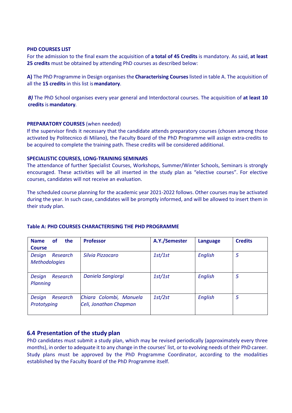#### **PHD COURSES LIST**

For the admission to the final exam the acquisition of **a total of 45 Credits** is mandatory. As said, **at least 25 credits** must be obtained by attending PhD courses as described below:

**A)** The PhD Programme in Design organises the **Characterising Courses** listed in table A. The acquisition of all the **15 credits** in this list is **mandatory**.

*B)* The PhD School organises every year general and Interdoctoral courses. The acquisition of **at least 10 credits** is **mandatory***.* 

#### **PREPARATORY COURSES** (when needed)

If the supervisor finds it necessary that the candidate attends preparatory courses (chosen among those activated by Politecnico di Milano), the Faculty Board of the PhD Programme will assign extra‐credits to be acquired to complete the training path. These credits will be considered additional.

#### **SPECIALISTIC COURSES, LONG‐TRAINING SEMINARS**

The attendance of further Specialist Courses, Workshops, Summer/Winter Schools, Seminars is strongly encouraged. These activities will be all inserted in the study plan as "elective courses". For elective courses, candidates will not receive an evaluation.

The scheduled course planning for the academic year 2021‐2022 follows. Other courses may be activated during the year. In such case, candidates will be promptly informed, and will be allowed to insert them in their study plan.

| the<br><b>Name</b><br><b>of</b><br><b>Course</b> | <b>Professor</b>                                  | A.Y./Semester | <b>Language</b> | <b>Credits</b> |
|--------------------------------------------------|---------------------------------------------------|---------------|-----------------|----------------|
| Research<br>Design<br><b>Methodologies</b>       | Silvia Pizzocaro                                  | 1st/1st       | English         | 5              |
| Research<br>Design<br>Planning                   | Daniela Sangiorgi                                 | 1st/1st       | English         | 5              |
| Research<br>Design<br>Prototyping                | Chiara Colombi, Manuela<br>Celi, Jonathan Chapman | 1st/2st       | English         | 5              |

#### **Table A: PHD COURSES CHARACTERISING THE PHD PROGRAMME**

## **6.4 Presentation of the study plan**

PhD candidates must submit a study plan, which may be revised periodically (approximately every three months), in order to adequate it to any change in the courses' list, or to evolving needs of their PhD career. Study plans must be approved by the PhD Programme Coordinator, according to the modalities established by the Faculty Board of the PhD Programme itself.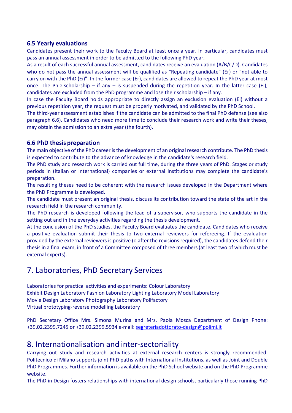## **6.5 Yearly evaluations**

Candidates present their work to the Faculty Board at least once a year. In particular, candidates must pass an annual assessment in order to be admitted to the following PhD year.

As a result of each successful annual assessment, candidates receive an evaluation (A/B/C/D). Candidates who do not pass the annual assessment will be qualified as "Repeating candidate" (Er) or "not able to carry on with the PhD (Ei)". In the former case (Er), candidates are allowed to repeat the PhD year at most once. The PhD scholarship – if any – is suspended during the repetition year. In the latter case (Ei), candidates are excluded from the PhD programme and lose their scholarship – if any.

In case the Faculty Board holds appropriate to directly assign an exclusion evaluation (Ei) without a previous repetition year, the request must be properly motivated, and validated by the PhD School.

The third‐year assessment establishes if the candidate can be admitted to the final PhD defense (see also paragraph 6.6). Candidates who need more time to conclude their research work and write their theses, may obtain the admission to an extra year (the fourth).

# **6.6 PhD thesis preparation**

The main objective of the PhD career is the development of an original research contribute. The PhD thesis is expected to contribute to the advance of knowledge in the candidate's research field.

The PhD study and research work is carried out full time, during the three years of PhD. Stages or study periods in (Italian or International) companies or external Institutions may complete the candidate's preparation.

The resulting theses need to be coherent with the research issues developed in the Department where the PhD Programme is developed.

The candidate must present an original thesis, discuss its contribution toward the state of the art in the research field in the research community.

The PhD research is developed following the lead of a supervisor, who supports the candidate in the setting out and in the everyday activities regarding the thesis development.

At the conclusion of the PhD studies, the Faculty Board evaluates the candidate. Candidates who receive a positive evaluation submit their thesis to two external reviewers for refereeing. If the evaluation provided by the external reviewers is positive (o after the revisions required), the candidates defend their thesis in a final exam, in front of a Committee composed of three members (at least two of which must be external experts).

# 7. Laboratories, PhD Secretary Services

Laboratories for practical activities and experiments: Colour Laboratory Exhibit Design Laboratory Fashion Laboratory Lighting Laboratory Model Laboratory Movie Design Laboratory Photography Laboratory Polifactory Virtual prototyping‐reverse modelling Laboratory

PhD Secretary Office Mrs. Simona Murina and Mrs. Paola Mosca Department of Design Phone: +39.02.2399.7245 or +39.02.2399.5934 e‐mail: segreteriadottorato‐design@polimi.it

# 8. Internationalisation and inter‐sectoriality

Carrying out study and research activities at external research centers is strongly recommended. Politecnico di Milano supports joint PhD paths with International Institutions, as well as Joint and Double PhD Programmes. Further information is available on the PhD School website and on the PhD Programme website.

The PhD in Design fosters relationships with international design schools, particularly those running PhD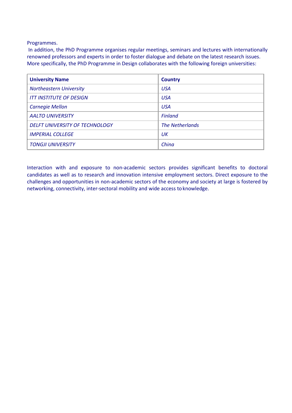Programmes.

 In addition, the PhD Programme organises regular meetings, seminars and lectures with internationally renowned professors and experts in order to foster dialogue and debate on the latest research issues. More specifically, the PhD Programme in Design collaborates with the following foreign universities:

| <b>University Name</b>         | <b>Country</b>         |
|--------------------------------|------------------------|
| <b>Northeastern University</b> | <b>USA</b>             |
| <b>ITT INSTITUTE OF DESIGN</b> | <b>USA</b>             |
| <b>Carnegie Mellon</b>         | <b>USA</b>             |
| <b>AALTO UNIVERSITY</b>        | <b>Finland</b>         |
| DELFT UNIVERSITY OF TECHNOLOGY | <b>The Netherlands</b> |
| <b>IMPERIAL COLLEGE</b>        | UК                     |
| <b>TONGJI UNIVERSITY</b>       | China                  |

Interaction with and exposure to non-academic sectors provides significant benefits to doctoral candidates as well as to research and innovation intensive employment sectors. Direct exposure to the challenges and opportunities in non‐academic sectors of the economy and society at large is fostered by networking, connectivity, inter‐sectoral mobility and wide access to knowledge.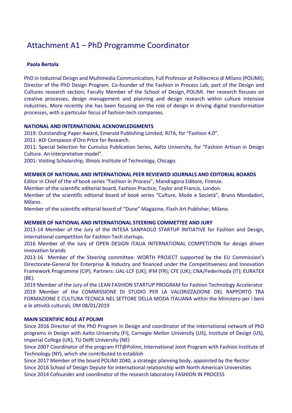# Attachment A1 – PhD Programme Coordinator

## **Paola Bertola**

PhD in Industrial Design and Multimedia Communication, Full Professor at Politecnico di Milano (POLIMI); Director of the PhD Design Program. Co‐founder of the Fashion in Process Lab, part of the Design and Cultures research section; Faculty Member of the School of Design, POLIMI. Her research focuses on creative processes, design management and planning and design research within culture intensive industries. More recently she has been focusing on the role of design in driving digital transformation processes, with a particular focus of fashion‐tech companies.

## **NATIONAL AND INTERNATIONAL ACKNOWLEDGMENTS**

2019: Outstanding Paper Award, Emerald Publishing Limited, RJTA, for "Fashion 4.0".

2011: ADI Compasso d'Oro Price for Research.

2011: Special Selection for Cumulus Publication Series, Aalto University, for "Fashion Artisan in Design Culture. An interpretative model".

2001: Visiting Scholarship, Illinois Institute of Technology, Chicago.

## **MEMBER OF NATIONAL AND INTERNATIONAL PEER REVIEWED JOURNALS AND EDITORIAL BOARDS**

Editor in Chief of the of book series "Fashion In Process", Mandragora Editore, Firenze.

Member of the scientific editorial board, Fashion Practice, Taylor and Francis, London.

Member of the scientific editorial board of book series "Culture, Mode e Società", Bruno Mondadori, Milano.

Member of the scientific editorial board of "Dune" Magazine, Flash Art Publisher, Milano.

## **MEMBER OF NATIONAL AND INTERNATIONAL STEERING COMMETTEE AND JURY**

2013‐14 Member of the Jury of the INTESA SANPAOLO STARTUP INITIATIVE for Fashion and Design, international competition for Fashion‐Tech startups.

2016 Member of the Jury of OPEN DESIGN ITALIA INTERNATIONAL COMPETITION for design driven innovation brands

2013‐16 Member of the Steering committee: WORTH PROJECT supported by the EU Commission's Directorate‐General for Enterprise & Industry and financed under the Competitiveness and Innovation Framework Programme (CIP). Partners: UAL‐LCF (UK); IFM (FR); CFE (UK); CNA/Federmoda (IT); EURATEX (BE).

2019 Member of the Jury of the LEAN FASHION STARTUP PROGRAM for Fashion Technology Accelerator 2019 Member of the COMMISSIONE DI STUDIO PER LA VALORIZZAZIONE DEL RAPPORTO TRA FORMAZIONE E CULTURA TECNICA NEL SETTORE DELLA MODA ITALIANA within the Ministero per i beni e le attività culturali, DM 08/01/2019

## **MAIN SCIENTIFIC ROLE AT POLIMI**

Since 2016 Director of the PhD Program in Design and coordinator of the international network of PhD programs in Design with Aalto University (FI), Carnegie Mellon University (US), Institute of Design (US), Imperial College (UK), TU Delft University (NE)

Since 2007 Coordinator of the program FIT@Polimi, International Joint Program with Fashion Institute of Technology (NY), which she contributed to establish

Since 2017 Member of the board POLIMI 2040, a strategic planning body, appointed by the Rector Since 2016 School of Design Depute for international relationship with North American Universities Since 2014 Cofounder and coordinator of the research laboratory FASHION IN PROCESS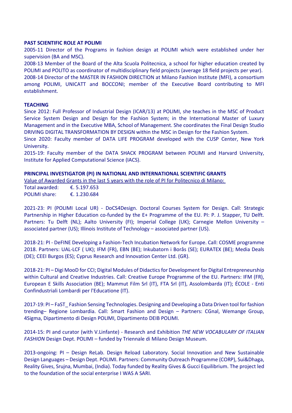#### **PAST SCIENTIFIC ROLE AT POLIMI**

2005‐11 Director of the Programs in fashion design at POLIMI which were established under her supervision (BA and MSC).

2008‐13 Member of the Board of the Alta Scuola Politecnica, a school for higher education created by POLIMI and POLITO as coordinator of multidisciplinary field projects (average 18 field projects per year).

2008‐14 Director of the MASTER IN FASHION DIRECTION at Milano Fashion Institute (MFI), a consortium among POLIMI, UNICATT and BOCCONI; member of the Executive Board contributing to MFI establishment.

#### **TEACHING**

Since 2012: Full Professor of Industrial Design (ICAR/13) at POLIMI, she teaches in the MSC of Product Service System Design and Design for the Fashion System; in the International Master of Luxury Management and in the Executive MBA, School of Management. She coordinates the Final Design Studio DRIVING DIGITAL TRANSFORMATION BY DESIGN within the MSC in Design for the Fashion System.

Since 2020: Faculty member of DATA LIFE PROGRAM developed with the CUSP Center, New York University.

2015-19: Faculty member of the DATA SHACK PROGRAM between POLIMI and Harvard University, Institute for Applied Computational Science (IACS).

#### **PRINCIPAL INVESTIGATOR (PI) IN NATIONAL AND INTERNATIONAL SCIENTIFIC GRANTS**

Value of Awarded Grants in the last 5 years with the role of PI for Politecnico di Milano:

Total awarded: €. 5.197.653 POLIMI share: €. 1.230.684

2021‐23: PI (POLIMI Local UR) ‐ DoCS4Design. Doctoral Courses System for Design. Call: Strategic Partnership in Higher Education co-funded by the E+ Programme of the EU. PI: P. J. Stapper, TU Delft. Partners: Tu Delft (NL); Aalto University (FI); Imperial College (UK); Carnegie Mellon University associated partner (US); Illinois Institute of Technology – associated partner (US).

2018‐21: PI ‐ DeFINE Developing a Fashion‐Tech Incubation Network for Europe. Call: COSME programme 2018. Partners: UAL‐LCF ( UK); IFM (FR), EBN (BE); Inkubatorn i Borås (SE); EURATEX (BE); Media Deals (DE); CEEI Burgos (ES); Cyprus Research and Innovation Center Ltd. (GR).

2018‐21: PI – Digi MooD for CCI; Digital Modules of Didactics for Development for Digital Entrepreneurship within Cultural and Creative Industries. Call: Creative Europe Programme of the EU. Partners: IFM (FR), European E Skills Association (BE); Mammut Film Srl (IT), FTA Srl (IT), Assolombarda (IT); ÉCOLE ‐ Enti Confindustriali Lombardi per l'Educatione (IT).

2017-19: PI – FaST\_ Fashion Sensing Technologies. Designing and Developing a Data Driven tool for fashion trending– Regione Lombardia. Call: Smart Fashion and Design – Partners: CGnal, Wemange Group, 4Sigma, Dipartimento di Design POLIMI, Dipartimento DEIB POLIMI.

2014‐15: PI and curator (with V.Linfante) ‐ Research and Exhibition *THE NEW VOCABULARY OF ITALIAN FASHION* Design Dept. POLIMI – funded by Triennale di Milano Design Museum.

2013‐ongoing: PI – Design ReLab. Design Reload Laboratory. Social Innovation and New Sustainable Design Languages – Design Dept. POLIMI. Partners: Community Outreach Programme (CORP), Sui&Dhaga, Reality Gives, Srujna, Mumbai, (India). Today funded by Reality Gives & Gucci Equilibrium. The project led to the foundation of the social enterprise I WAS A SARI.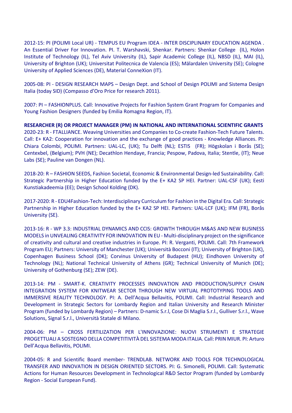2012‐15: PI (POLIMI Local UR) ‐ TEMPUS EU Program IDEA ‐ INTER DISCIPLINARY EDUCATION AGENDA . An Essential Driver For Innovation. PI. T. Warshavski, Shenkar. Partners: Shenkar College (IL), Holon Institute of Technology (IL), Tel Aviv University (IL), Sapir Academic College (IL), NBSD (IL), MAI (IL), University of Brighton (UK); Universitat Politecnica de Valencia (ES); Mälardalen University (SE); Cologne University of Applied Sciences (DE), Material ConneXion (IT).

2005‐08: PI ‐ DESIGN RESEARCH MAPS – Design Dept. and School of Design POLIMI and Sistema Design Italia (today SID) (Compasso d'Oro Price for research 2011).

2007: PI – FASHIONPLUS. Call: Innovative Projects for Fashion System Grant Program for Companies and Young Fashion Designers (funded by Emilia Romagna Region, IT).

**RESEARCHER (R) OR PROJECT MANAGER (PM) IN NATIONAL AND INTERNATIONAL SCIENTIFIC GRANTS**  2020‐23: R ‐ FTALLIANCE. Weaving Universities and Companies to Co‐create Fashion‐Tech Future Talents. Call: E+ KA2: Cooperation for innovation and the exchange of good practices ‐ Knowledge Alliances. PI: Chiara Colombi, POLIMI. Partners: UAL‐LC, (UK); Tu Delft (NL); ESTIS (FR); Högskolan i Borås (SE); Centexbel, (Belgium); PVH (NE); Decathlon Hendaye, Francia; Pespow, Padova, Italia; Stentle, (IT); Neue Labs (SE); Pauline van Dongen (NL).

2018‐20: R – FASHION SEEDS, Fashion Societal, Economic & Environmental Design‐led Sustainability. Call: Strategic Partnership in Higher Education funded by the E+ KA2 SP HEI. Partner: UAL‐CSF (UK); Eesti Kunstiakadeemia (EE); Design School Kolding (DK).

2017‐2020: R ‐ EDU4Fashion‐Tech: Interdisciplinary Curriculum for Fashion in the Digital Era. Call: Strategic Partnership in Higher Education funded by the E+ KA2 SP HEI. Partners: UAL‐LCF (UK); IFM (FR), Borås University (SE).

2013‐16: R ‐ WP 3.3: INDUSTRIAL DYNAMICS AND CCIS: GROWTH THROUGH M&AS AND NEW BUSINESS MODELS in UNVEALING CREATIVITY FOR INNOVATION IN EU ‐ Multi‐disciplinary project on the significance of creativity and cultural and creative industries in Europe. PI: R. Verganti, POLIMI. Call: 7th Framework Program EU; Partners: University of Manchester (UK); Università Bocconi (IT); University of Brighton (UK), Copenhagen Business School (DK); Corvinus University of Budapest (HU); Eindhoven University of Technology (NL); National Technical University of Athens (GR); Technical University of Munich (DE); University of Gothenburg (SE); ZEW (DE).

2013‐14: PM ‐ SMART‐K. CREATIVITY PROCESSES INNOVATION AND PRODUCTION/SUPPLY CHAIN INTEGRATION SYSTEM FOR KNITWEAR SECTOR THROUGH NEW VIRTUAL PROTOTYPING TOOLS AND IMMERSIVE REALITY TECHNOLOGY. PI: A. Dell'Acqua Bellavitis, POLIMI. Call: Industrial Research and Development in Strategic Sectors for Lombardy Region and Italian University and Research Minister Program (funded by Lombardy Region) – Partners: D‐namic S.r.l, Cose Di Maglia S.r.l., Gulliver S.r.l., Wave Solutions, Signal S.r.l., Università Statale di Milano.

2004‐06: PM – CROSS FERTILIZATION PER L'INNOVAZIONE: NUOVI STRUMENTI E STRATEGIE PROGETTUALI A SOSTEGNO DELLA COMPETITIVITÀ DEL SISTEMA MODA ITALIA. Call: PRIN MIUR. PI: Arturo Dell'Acqua Bellavitis, POLIMI.

2004‐05: R and Scientific Board member‐ TRENDLAB. NETWORK AND TOOLS FOR TECHNOLOGICAL TRANSFER AND INNOVATION IN DESIGN ORIENTED SECTORS. PI: G. Simonelli, POLIMI. Call: Systematic Actions for Human Resources Development in Technological R&D Sector Program (funded by Lombardy Region ‐ Social European Fund).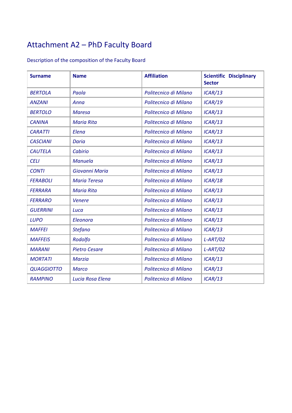# Attachment A2 – PhD Faculty Board

# Description of the composition of the Faculty Board

| <b>Surname</b>    | <b>Name</b>          | <b>Affiliation</b>    | <b>Scientific Disciplinary</b><br><b>Sector</b> |
|-------------------|----------------------|-----------------------|-------------------------------------------------|
| <b>BERTOLA</b>    | Paola                | Politecnico di Milano | ICAR/13                                         |
| <b>ANZANI</b>     | Anna                 | Politecnico di Milano | ICAR/19                                         |
| <b>BERTOLO</b>    | <b>Maresa</b>        | Politecnico di Milano | ICAR/13                                         |
| <b>CANINA</b>     | <b>Maria Rita</b>    | Politecnico di Milano | ICAR/13                                         |
| <b>CARATTI</b>    | Elena                | Politecnico di Milano | ICAR/13                                         |
| <b>CASCIANI</b>   | Daria                | Politecnico di Milano | ICAR/13                                         |
| <b>CAUTELA</b>    | Cabirio              | Politecnico di Milano | ICAR/13                                         |
| <b>CELI</b>       | Manuela              | Politecnico di Milano | ICAR/13                                         |
| <b>CONTI</b>      | Giovanni Maria       | Politecnico di Milano | ICAR/13                                         |
| <b>FERABOLI</b>   | <b>Maria Teresa</b>  | Politecnico di Milano | ICAR/18                                         |
| <b>FERRARA</b>    | <b>Maria Rita</b>    | Politecnico di Milano | ICAR/13                                         |
| <b>FERRARO</b>    | <b>Venere</b>        | Politecnico di Milano | ICAR/13                                         |
| <b>GUERRINI</b>   | Luca                 | Politecnico di Milano | ICAR/13                                         |
| <b>LUPO</b>       | Eleonora             | Politecnico di Milano | ICAR/13                                         |
| <b>MAFFEI</b>     | <b>Stefano</b>       | Politecnico di Milano | ICAR/13                                         |
| <b>MAFFEIS</b>    | Rodolfo              | Politecnico di Milano | $L-ART/02$                                      |
| <b>MARANI</b>     | <b>Pietro Cesare</b> | Politecnico di Milano | $L-ART/02$                                      |
| <b>MORTATI</b>    | <b>Marzia</b>        | Politecnico di Milano | ICAR/13                                         |
| <b>QUAGGIOTTO</b> | <b>Marco</b>         | Politecnico di Milano | ICAR/13                                         |
| <b>RAMPINO</b>    | Lucia Rosa Elena     | Politecnico di Milano | ICAR/13                                         |